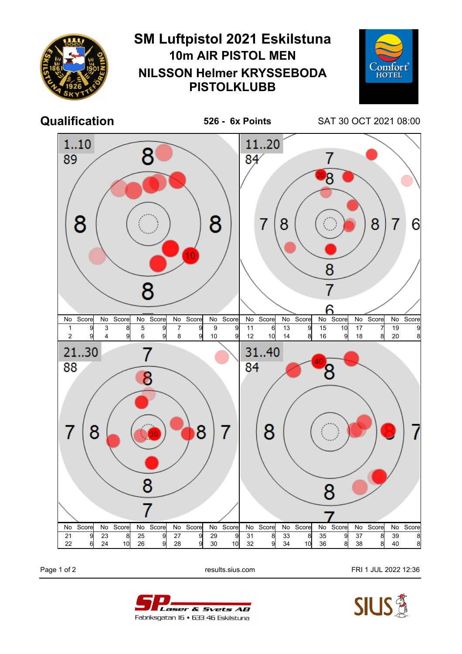

Page 1 of 2 **Page 1 of 2** results.sius.com **FRI 1 JUL 2022 12:36**